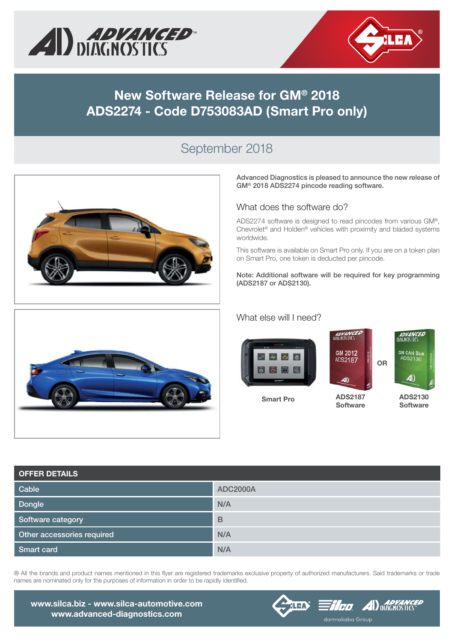



## **New Software Release for GM® 2018 ADS2274 - Code D753083AD (Smart Pro only)**

### September 2018





**Advanced Diagnostics is pleased to announce the new release of GM® 2018 ADS2274 pincode reading software.**

#### What does the software do?

ADS2274 software is designed to read pincodes from various GM®, Chevrolet® and Holden® vehicles with proximity and bladed systems worldwide.

This software is available on Smart Pro only. If you are on a token plan on Smart Pro, one token is deducted per pincode.

**Note: Additional software will be required for key programming (ADS2187 or ADS2130).**

#### What else will I need?



**Smart Pro**

**ADS2187 Software**

**ADS2130 Software**

| <b>OFFER DETAILS</b>       |                 |
|----------------------------|-----------------|
| Cable                      | <b>ADC2000A</b> |
| Dongle                     | N/A             |
| Software category          | B               |
| Other accessories required | N/A             |
| Smart card                 | N/A             |



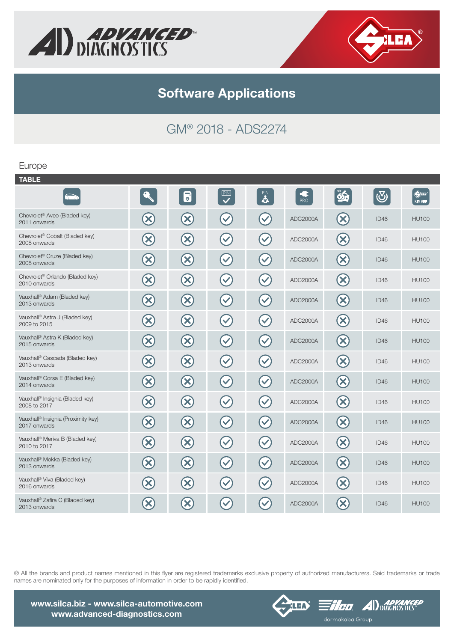



# GM® 2018 - ADS2274

### Europe

|                             | $\overline{\bullet}$            | PIN<br>$\overline{\mathbf{v}}$ | $\mathbf{R}$         | Œ<br><b>PRO</b> | OH                                       | $\bigcirc$ | $\Leftrightarrow$<br><b>KEY REF.</b> |
|-----------------------------|---------------------------------|--------------------------------|----------------------|-----------------|------------------------------------------|------------|--------------------------------------|
| $\left( \infty \right)$     | $\left( \infty \right)$         | $\checkmark$                   | $\checkmark$         | ADC2000A        | $\left( \mathbf{X}\right)$               | ID46       | <b>HU100</b>                         |
| $\left(\!\mathsf{x}\right)$ | $\left( \infty \right)$         | $(\vee)$                       | $\blacktriangledown$ | ADC2000A        | $\left(\mathsf{x}\right)$                | ID46       | <b>HU100</b>                         |
| $\infty$                    | $\bigcirc$                      | $\left(\checkmark\right)$      | $\blacktriangledown$ | ADC2000A        | $\infty$                                 | ID46       | <b>HU100</b>                         |
| $\infty$                    | $\left( \mathbf{\infty}\right)$ | $\blacktriangledown$           | $\blacktriangledown$ | ADC2000A        | $\left( \mathbf{\mathbf{\times}}\right)$ | ID46       | <b>HU100</b>                         |
| $\infty$                    | $\left( \mathbf{\infty}\right)$ | $\left(\checkmark\right)$      | $\blacktriangledown$ | ADC2000A        | $\left(\mathsf{x}\right)$                | ID46       | <b>HU100</b>                         |
| $\bigotimes$                | $\infty$                        | $\left(\checkmark\right)$      | $\blacktriangledown$ | ADC2000A        | $\infty$                                 | ID46       | <b>HU100</b>                         |
| $\infty$                    | $\left( \mathbf{\infty}\right)$ | $\left(\checkmark\right)$      | $\blacktriangledown$ | ADC2000A        | $\left( \infty \right)$                  | ID46       | <b>HU100</b>                         |
| $\infty$                    | $\left( \mathbf{\Omega}\right)$ | $\left(\checkmark\right)$      | $\blacktriangledown$ | ADC2000A        | $\left( \infty \right)$                  | ID46       | <b>HU100</b>                         |
| $\infty$                    | $\bigcirc$                      | $\blacktriangledown$           | $\blacktriangledown$ | ADC2000A        | $\bigotimes$                             | ID46       | <b>HU100</b>                         |
| $\bigotimes$                | $\bigotimes$                    | $\left(\checkmark\right)$      | $\blacktriangledown$ | ADC2000A        | $\bigotimes$                             | ID46       | <b>HU100</b>                         |
| $\infty$                    | $\left( \mathbf{\infty}\right)$ | $\blacktriangledown$           | $\blacktriangledown$ | ADC2000A        | $\left( \mathsf{x}\right)$               | ID46       | <b>HU100</b>                         |
| $\infty$                    | $\left( \mathbf{\Omega}\right)$ | $\blacktriangledown$           | $\blacktriangledown$ | ADC2000A        | $\left( \mathbf{\infty}\right)$          | ID46       | <b>HU100</b>                         |
| $\bigotimes$                | $\bigotimes$                    | $\left(\checkmark\right)$      | $\blacktriangledown$ | ADC2000A        | $\left( \infty \right)$                  | ID46       | <b>HU100</b>                         |
| $\left( \infty \right)$     | $\left( \infty \right)$         | $\blacktriangledown$           | $\checkmark$         | ADC2000A        | $\left( \mathbf{\mathbf{\times}}\right)$ | ID46       | <b>HU100</b>                         |
| $\boldsymbol{\times}$       | $\infty$                        | $\checkmark$                   |                      | ADC2000A        | $\left( \mathbf{X}\right)$               | ID46       | <b>HU100</b>                         |
|                             |                                 |                                |                      |                 |                                          |            |                                      |





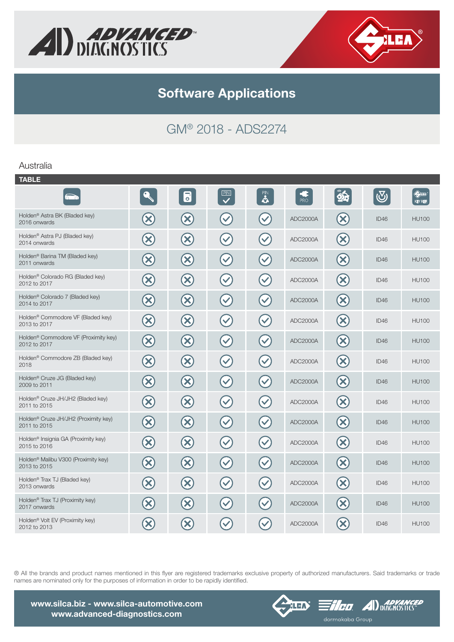



# GM® 2018 - ADS2274

### Australia

| <b>TABLE</b>                                                     |                            |                                              |                                     |                      |                   |                                |            |                                 |
|------------------------------------------------------------------|----------------------------|----------------------------------------------|-------------------------------------|----------------------|-------------------|--------------------------------|------------|---------------------------------|
|                                                                  |                            | $\overline{\mathbf{b}}$                      | PIN<br>$\overline{\bm{\checkmark}}$ | $\mathbf{a}$         | - 5<br><b>PRO</b> | $\mathbf{\hat{\mathbf{\Phi}}}$ | $\bigcirc$ | $\bigoplus_{i=1}^n$<br>KEY REF. |
| Holden <sup>®</sup> Astra BK (Bladed key)<br>2016 onwards        | $\left( \infty \right)$    | $\left( \mathbf{\infty}\right)$              | $\blacktriangledown$                | $\blacktriangledown$ | ADC2000A          | $(\mathsf{x})$                 | ID46       | <b>HU100</b>                    |
| Holden <sup>®</sup> Astra PJ (Bladed key)<br>2014 onwards        | $\bm{\chi}$                | $\infty$                                     | $\blacktriangledown$                | $\blacktriangledown$ | ADC2000A          | $(\mathbf{x})$                 | ID46       | <b>HU100</b>                    |
| Holden <sup>®</sup> Barina TM (Bladed key)<br>2011 onwards       | $\infty$                   | $\infty$                                     | $\blacktriangledown$                | $\checkmark$         | ADC2000A          | $\mathbf{x}$                   | ID46       | <b>HU100</b>                    |
| Holden <sup>®</sup> Colorado RG (Bladed key)<br>2012 to 2017     | $\bigotimes$               | $\left( \mathsf{x}\right)$                   | $\blacktriangledown$                | $\blacktriangledown$ | ADC2000A          | $(\mathsf{X})$                 | ID46       | <b>HU100</b>                    |
| Holden <sup>®</sup> Colorado 7 (Bladed key)<br>2014 to 2017      | $\bigotimes$               | $\left( \infty \right)$                      | $\blacktriangledown$                | $\blacktriangledown$ | ADC2000A          | $\left(\infty\right)$          | ID46       | <b>HU100</b>                    |
| Holden <sup>®</sup> Commodore VF (Bladed key)<br>2013 to 2017    | $\bm{\infty}$              | $\infty$                                     | $\blacktriangledown$                | $\blacktriangledown$ | ADC2000A          | $\left( \infty \right)$        | ID46       | <b>HU100</b>                    |
| Holden <sup>®</sup> Commodore VF (Proximity key)<br>2012 to 2017 | $\left( \infty \right)$    | $\infty$                                     | $\blacktriangledown$                | $\blacktriangledown$ | ADC2000A          | $\left( \infty \right)$        | ID46       | <b>HU100</b>                    |
| Holden <sup>®</sup> Commodore ZB (Bladed key)<br>2018            | $\boldsymbol{\chi}$        | $\left( \infty \right)$                      | $\blacktriangledown$                | $\blacktriangledown$ | ADC2000A          | $(\mathsf{X})$                 | ID46       | <b>HU100</b>                    |
| Holden <sup>®</sup> Cruze JG (Bladed key)<br>2009 to 2011        | $\mathbf{x}$               | $\left(\mathsf{x}\right)$                    | $\blacktriangledown$                | $\checkmark$         | ADC2000A          | $(\mathsf{X})$                 | ID46       | <b>HU100</b>                    |
| Holden <sup>®</sup> Cruze JH/JH2 (Bladed key)<br>2011 to 2015    | $\boldsymbol{\mathcal{S}}$ | $\left( \infty \right)$                      | $\blacktriangledown$                | $\blacktriangledown$ | ADC2000A          | $\left( \mathsf{X}\right)$     | ID46       | <b>HU100</b>                    |
| Holden <sup>®</sup> Cruze JH/JH2 (Proximity key)<br>2011 to 2015 | $\left( \infty \right)$    | $\left( \mathbf{\mathbf{\mathsf{x}}}\right)$ | $\blacktriangledown$                | $\checkmark$         | ADC2000A          | $(\mathsf{X})$                 | ID46       | <b>HU100</b>                    |
| Holden <sup>®</sup> Insignia GA (Proximity key)<br>2015 to 2016  | $\bigotimes$               | $\left(\!\mathsf{x}\right)$                  | $\blacktriangledown$                | $\blacktriangledown$ | ADC2000A          | $\left( \mathsf{x}\right)$     | ID46       | <b>HU100</b>                    |
| Holden <sup>®</sup> Malibu V300 (Proximity key)<br>2013 to 2015  | $\bigotimes$               | $\bigotimes$                                 | $\blacktriangledown$                | $\blacktriangledown$ | ADC2000A          | $\infty$                       | ID46       | <b>HU100</b>                    |
| Holden <sup>®</sup> Trax TJ (Bladed key)<br>2013 onwards         | $\infty$                   | $\bigotimes$                                 | $\blacktriangledown$                | $\blacktriangledown$ | ADC2000A          | $\infty$                       | ID46       | <b>HU100</b>                    |
| Holden <sup>®</sup> Trax TJ (Proximity key)<br>2017 onwards      | $\boldsymbol{\mathsf{X}}$  | $\infty$                                     | $\checkmark$                        | $\checkmark$         | ADC2000A          | $(\mathsf{x})$                 | ID46       | <b>HU100</b>                    |
| Holden <sup>®</sup> Volt EV (Proximity key)<br>2012 to 2013      | X                          | $\infty$                                     | $\checkmark$                        |                      | ADC2000A          | $\mathbf x$                    | ID46       | <b>HU100</b>                    |
|                                                                  |                            |                                              |                                     |                      |                   |                                |            |                                 |

® All the brands and product names mentioned in this flyer are registered trademarks exclusive property of authorized manufacturers. Said trademarks or trade names are nominated only for the purposes of information in order to be rapidly identified.

**www.silca.biz - www.silca-automotive.com www.advanced-diagnostics.com**



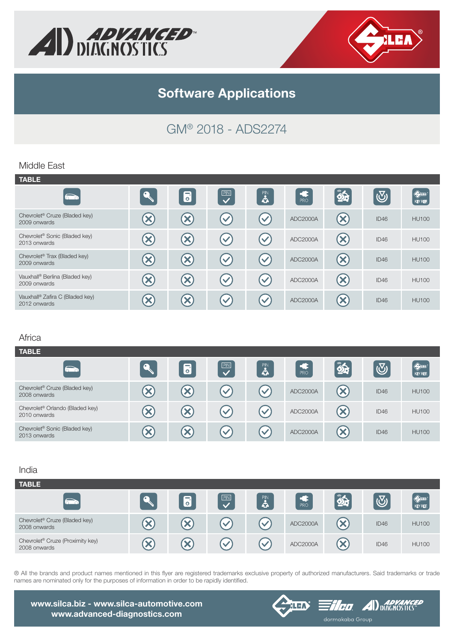



# GM® 2018 - ADS2274

### Middle East

| <b>TABLE</b>                                              |    |                           |                         |                      |          |                            |            |                         |
|-----------------------------------------------------------|----|---------------------------|-------------------------|----------------------|----------|----------------------------|------------|-------------------------|
| $\sum$                                                    |    | 6                         | $\overline{\mathbf{v}}$ | $\mathbf{a}$         | PRO      | $\hat{\mathbf{z}}$         | $\bigcirc$ | $\bigoplus$<br>KEY REF. |
| Chevrolet <sup>®</sup> Cruze (Bladed key)<br>2009 onwards |    | ×                         | $\blacktriangledown$    | $\blacktriangledown$ | ADC2000A | $\left( \mathbf{X}\right)$ | ID46       | <b>HU100</b>            |
| Chevrolet <sup>®</sup> Sonic (Bladed key)<br>2013 onwards |    | $\boldsymbol{\mathsf{x}}$ | $\checkmark$            | $\mathbf{v}$         | ADC2000A | $\mathbf{X}$               | ID46       | <b>HU100</b>            |
| Chevrolet <sup>®</sup> Trax (Bladed key)<br>2009 onwards  | X) | $\boldsymbol{\mathsf{X}}$ | $\blacktriangledown$    | $\blacktriangledown$ | ADC2000A | $\left( \infty \right)$    | ID46       | <b>HU100</b>            |
| Vauxhall® Berlina (Bladed key)<br>2009 onwards            |    | $\boldsymbol{\mathsf{X}}$ | $\checkmark$            | $\blacktriangledown$ | ADC2000A | $\left(\mathsf{x}\right)$  | ID46       | <b>HU100</b>            |
| Vauxhall® Zafira C (Bladed key)<br>2012 onwards           |    | $\boldsymbol{\times}$     | $\checkmark$            | $\blacktriangledown$ | ADC2000A | $\left( \mathsf{X}\right)$ | ID46       | <b>HU100</b>            |

#### Africa

| <b>TABLE</b>                                                |                       |                            |                      |                      |                      |                           |                         |                         |
|-------------------------------------------------------------|-----------------------|----------------------------|----------------------|----------------------|----------------------|---------------------------|-------------------------|-------------------------|
| $\sum_{i=1}^{n}$                                            |                       | 6                          | PIN<br>$\mathbf{z}$  | $\mathbf{S}$         | $rac{1}{\text{PRO}}$ | 85                        | $\overline{\mathbb{Q}}$ | $\bigoplus$<br>KEY REF. |
| Chevrolet <sup>®</sup> Cruze (Bladed key)<br>2008 onwards   | X.                    | X                          | $\blacktriangledown$ | $\blacktriangledown$ | ADC2000A             | $\boldsymbol{\mathsf{X}}$ | ID46                    | <b>HU100</b>            |
| Chevrolet <sup>®</sup> Orlando (Bladed key)<br>2010 onwards | $\boldsymbol{\times}$ | $\left( \mathbf{x}\right)$ | $\blacktriangledown$ | $\blacktriangledown$ | ADC2000A             | $\bm{\times}$             | ID46                    | <b>HU100</b>            |
| Chevrolet <sup>®</sup> Sonic (Bladed key)<br>2013 onwards   | ×                     | $\boldsymbol{\times}$      | $\checkmark$         | $\blacktriangledown$ | ADC2000A             | $\bm{\times}$             | ID46                    | <b>HU100</b>            |

#### India

| <b>TABLE</b>                                                 |                      |                       |                            |                      |            |             |                  |                                        |
|--------------------------------------------------------------|----------------------|-----------------------|----------------------------|----------------------|------------|-------------|------------------|----------------------------------------|
|                                                              |                      | 6                     | PIN                        | $\mathbf{a}$         | <b>PRO</b> | $\sim$      | $\overline{N_0}$ | $\bigoplus\limits_{i=1}^n$<br>KEY REF. |
| Chevrolet <sup>®</sup> Cruze (Bladed key)<br>2008 onwards    |                      | $\boldsymbol{\times}$ | $\boldsymbol{\mathcal{S}}$ |                      | ADC2000A   | $\mathbf x$ | ID46             | <b>HU100</b>                           |
| Chevrolet <sup>®</sup> Cruze (Proximity key)<br>2008 onwards | $\blacktriangledown$ | $\boldsymbol{\times}$ | $\mathcal{L}$              | $\blacktriangledown$ | ADC2000A   |             | ID46             | <b>HU100</b>                           |